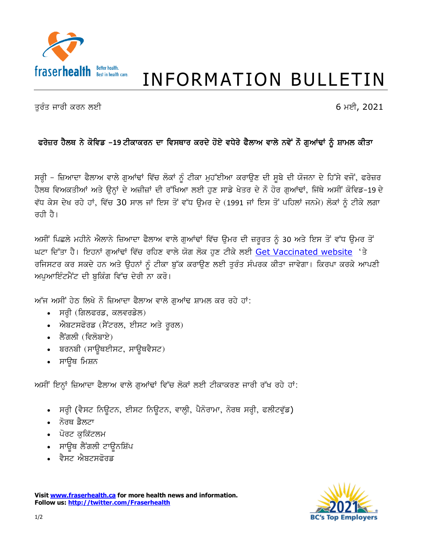

## **INFORMATION BULLETIN**

ਤੁਰੰਤ ਜਾਰੀ ਕਰਨ ਲਈ

6 ਮਈ, 2021

## ਫਰੇਜ਼ਰ ਹੈਲਥ ਨੇ ਕੋਵਿਡ -19 ਟੀਕਾਕਰਨ ਦਾ ਵਿਸਥਾਰ ਕਰਦੇ ਹੋਏ ਵਧੇਰੇ ਫੈਲਾਅ ਵਾਲੇ ਨਵੇਂ ਨੌ ਗੁਆਂਢਾਂ ਨੂੰ ਸ਼ਾਮਲ ਕੀਤਾ

ਸਰ੍ਹੀ – ਜ਼ਿਆਦਾ ਫੈਲਾਅ ਵਾਲੇ ਗੁਆਂਢਾਂ ਵਿੱਚ ਲੋਕਾਂ ਨੂੰ ਟੀਕਾ ਮੁਹੱਈਆ ਕਰਾਉਣ ਦੀ ਸੂਬੇ ਦੀ ਯੋਜਨਾ ਦੇ ਹਿੱਸੇ ਵਜੋਂ, ਫਰੇਜ਼ਰ ਹੈਲਥ ਵਿਅਕਤੀਆਂ ਅਤੇ ਉਨਾਂ ਦੇ ਅਜ਼ੀਜ਼ਾਂ ਦੀ ਰੱਖਿਆ ਲਈ ਹਣ ਸਾਡੇ ਖੇਤਰ ਦੇ ਨੌ ਹੋਰ ਗਆਂਢਾਂ, ਜਿੱਥੇ ਅਸੀਂ ਕੋਵਿਡ-19 ਦੇ ਵੱਧ ਕੇਸ ਦੇਖ ਰਹੇ ਹਾਂ, ਵਿੱਚ 30 ਸਾਲ ਜਾਂ ਇਸ ਤੋਂ ਵੱਧ ਉਮਰ ਦੇ (1991 ਜਾਂ ਇਸ ਤੋਂ ਪਹਿਲਾਂ ਜਨਮੇ) ਲੋਕਾਂ ਨੂੰ ਟੀਕੇ ਲਗਾ  $\pi$ ਹੀ ਹੈ।

ਅਸੀਂ ਪਿਛਲੇ ਮਹੀਨੇ ਐਲਾਨੇ ਜ਼ਿਆਦਾ ਫੈਲਾਅ ਵਾਲੇ ਗੁਆਂਢਾਂ ਵਿੱਚ ਉਮਰ ਦੀ ਜ਼ਰੂਰਤ ਨੂੰ 30 ਅਤੇ ਇਸ ਤੋਂ ਵੱਧ ਉਮਰ ਤੋਂ ਘਟਾ ਦਿੱਤਾ ਹੈ। ਇਹਨਾਂ ਗਆਂਢਾਂ ਵਿੱਚ ਰਹਿਣ ਵਾਲੇ ਯੋਗ ਲੋਕ ਹੁਣ ਟੀਕੇ ਲਈ Get Vaccinated website 'ਤੇ ਰਜਿਸਟਰ ਕਰ ਸਕਦੇ ਹਨ ਅਤੇ ਉਹਨਾਂ ਨੂੰ ਟੀਕਾ ਬੁੱਕ ਕਰਾਉਣ ਲਈ ਤੁਰੰਤ ਸੰਪਰਕ ਕੀਤਾ ਜਾਵੇਗਾ। ਕਿਰਪਾ ਕਰਕੇ ਆਪਣੀ ਅਪਆਇੰਟਮੈਂਟ ਦੀ ਬਕਿੰਗ ਵਿੱਚ ਦੇਰੀ ਨਾ ਕਰੋ।

ਆੱਜ ਅਸੀਂ ਹੇਠ ਲਿਖੇ ਨੌ ਜ਼ਿਆਦਾ ਫੈਲਾਅ ਵਾਲੇ ਗਆਂਢ ਸ਼ਾਮਲ ਕਰ ਰਹੇ ਹਾਂ:

- ਸਰ੍ਹੀ (ਗਿਲਫਰਡ, ਕਲਵਰਡੇਲ)
- ਐਬਟਸਫੋਰਡ (ਸੈਂਟਰਲ, ਈਸਟ ਅਤੇ ਰੂਰਲ)
- ∙ ਲੈਂਗਲੀ (ਵਿਲੋਬਾਏ)
- ਬਰਨਬੀ (ਸਾਊਥਈਸਟ, ਸਾਊਥਵੈਸਟ)
- ਸਾਊਥ ਮਿਸ਼ਨ

ਅਸੀਂ ਇਨ੍ਹਾਂ ਜ਼ਿਆਦਾ ਫੈਲਾਅ ਵਾਲੇ ਗੁਆਂਢਾਂ ਵਿੱਚ ਲੋਕਾਂ ਲਈ ਟੀਕਾਕਰਣ ਜਾਰੀ ਰੱਖ ਰਹੇ ਹਾਂ:

- ਸਰ੍ਹੀ (ਵੈਸਟ ਨਿਊਟਨ, ਈਸਟ ਨਿਊਟਨ, ਵਾਲ੍ਹੀ, ਪੈਨੋਰਾਮਾ, ਨੋਰਥ ਸਰ੍ਹੀ, ਫਲੀਟਵੁੱਡ)
- ਨੋਰਥ ਡੈਲਟਾ
- ਪੋਰਟ ਕਕਿੱਟਲਮ
- ਸਾਉਥ ਲੈਂਗਲੀ ਟਾਉਨਸ਼ਿੱਪ
- ਵੈਸਟ ਐਬਟਸਫੋਰਡ